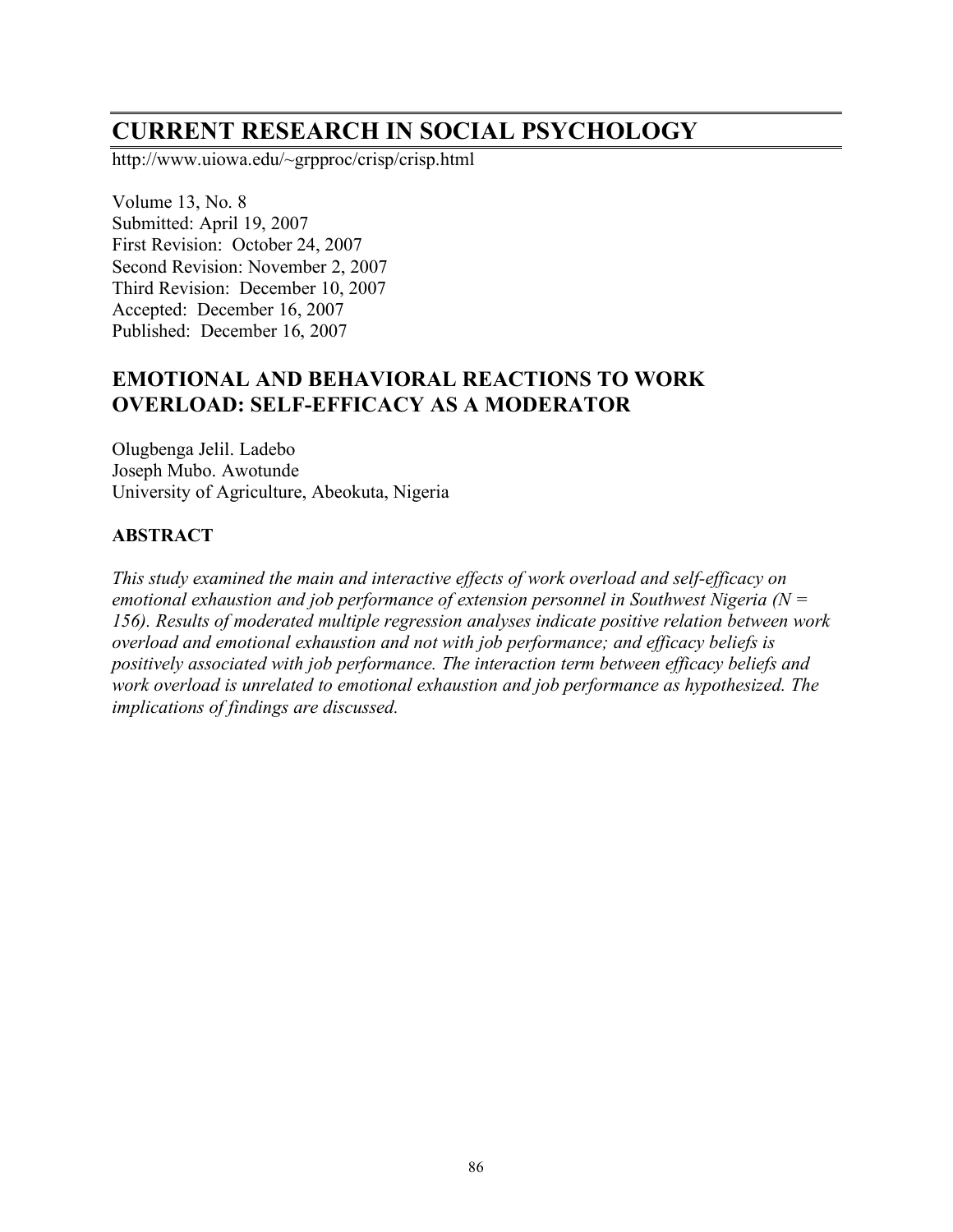# **CURRENT RESEARCH IN SOCIAL PSYCHOLOGY**

http://www.uiowa.edu/~grpproc/crisp/crisp.html

Volume 13, No. 8 Submitted: April 19, 2007 First Revision: October 24, 2007 Second Revision: November 2, 2007 Third Revision: December 10, 2007 Accepted: December 16, 2007 Published: December 16, 2007

# **EMOTIONAL AND BEHAVIORAL REACTIONS TO WORK OVERLOAD: SELF-EFFICACY AS A MODERATOR**

Olugbenga Jelil. Ladebo Joseph Mubo. Awotunde University of Agriculture, Abeokuta, Nigeria

# **ABSTRACT**

*This study examined the main and interactive effects of work overload and self-efficacy on emotional exhaustion and job performance of extension personnel in Southwest Nigeria (N = 156). Results of moderated multiple regression analyses indicate positive relation between work overload and emotional exhaustion and not with job performance; and efficacy beliefs is positively associated with job performance. The interaction term between efficacy beliefs and work overload is unrelated to emotional exhaustion and job performance as hypothesized. The implications of findings are discussed.*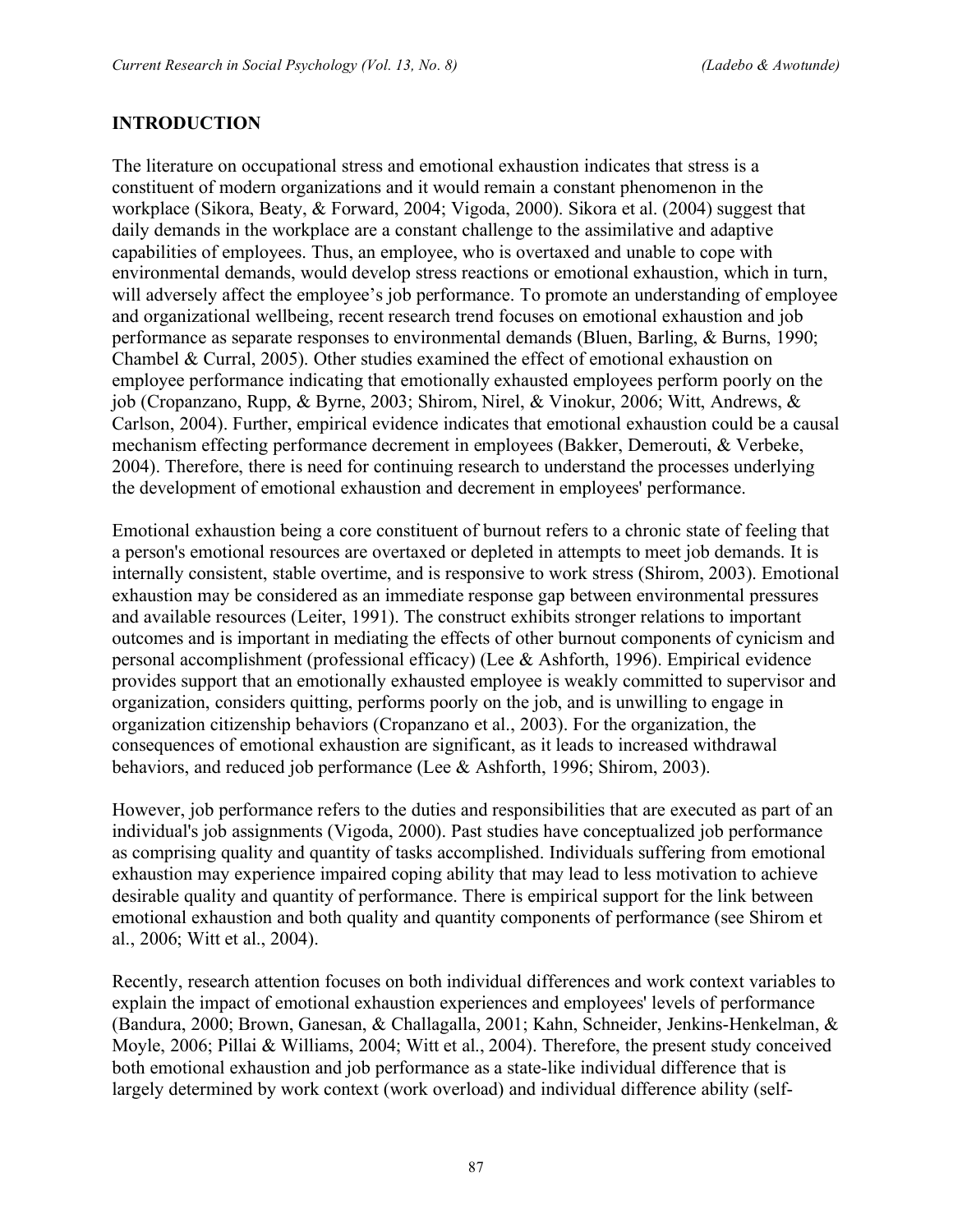### **INTRODUCTION**

The literature on occupational stress and emotional exhaustion indicates that stress is a constituent of modern organizations and it would remain a constant phenomenon in the workplace (Sikora, Beaty, & Forward, 2004; Vigoda, 2000). Sikora et al. (2004) suggest that daily demands in the workplace are a constant challenge to the assimilative and adaptive capabilities of employees. Thus, an employee, who is overtaxed and unable to cope with environmental demands, would develop stress reactions or emotional exhaustion, which in turn, will adversely affect the employee's job performance. To promote an understanding of employee and organizational wellbeing, recent research trend focuses on emotional exhaustion and job performance as separate responses to environmental demands (Bluen, Barling, & Burns, 1990; Chambel & Curral, 2005). Other studies examined the effect of emotional exhaustion on employee performance indicating that emotionally exhausted employees perform poorly on the job (Cropanzano, Rupp, & Byrne, 2003; Shirom, Nirel, & Vinokur, 2006; Witt, Andrews, & Carlson, 2004). Further, empirical evidence indicates that emotional exhaustion could be a causal mechanism effecting performance decrement in employees (Bakker, Demerouti, & Verbeke, 2004). Therefore, there is need for continuing research to understand the processes underlying the development of emotional exhaustion and decrement in employees' performance.

Emotional exhaustion being a core constituent of burnout refers to a chronic state of feeling that a person's emotional resources are overtaxed or depleted in attempts to meet job demands. It is internally consistent, stable overtime, and is responsive to work stress (Shirom, 2003). Emotional exhaustion may be considered as an immediate response gap between environmental pressures and available resources (Leiter, 1991). The construct exhibits stronger relations to important outcomes and is important in mediating the effects of other burnout components of cynicism and personal accomplishment (professional efficacy) (Lee & Ashforth, 1996). Empirical evidence provides support that an emotionally exhausted employee is weakly committed to supervisor and organization, considers quitting, performs poorly on the job, and is unwilling to engage in organization citizenship behaviors (Cropanzano et al., 2003). For the organization, the consequences of emotional exhaustion are significant, as it leads to increased withdrawal behaviors, and reduced job performance (Lee & Ashforth, 1996; Shirom, 2003).

However, job performance refers to the duties and responsibilities that are executed as part of an individual's job assignments (Vigoda, 2000). Past studies have conceptualized job performance as comprising quality and quantity of tasks accomplished. Individuals suffering from emotional exhaustion may experience impaired coping ability that may lead to less motivation to achieve desirable quality and quantity of performance. There is empirical support for the link between emotional exhaustion and both quality and quantity components of performance (see Shirom et al., 2006; Witt et al., 2004).

Recently, research attention focuses on both individual differences and work context variables to explain the impact of emotional exhaustion experiences and employees' levels of performance (Bandura, 2000; Brown, Ganesan, & Challagalla, 2001; Kahn, Schneider, Jenkins-Henkelman, & Moyle, 2006; Pillai & Williams, 2004; Witt et al., 2004). Therefore, the present study conceived both emotional exhaustion and job performance as a state-like individual difference that is largely determined by work context (work overload) and individual difference ability (self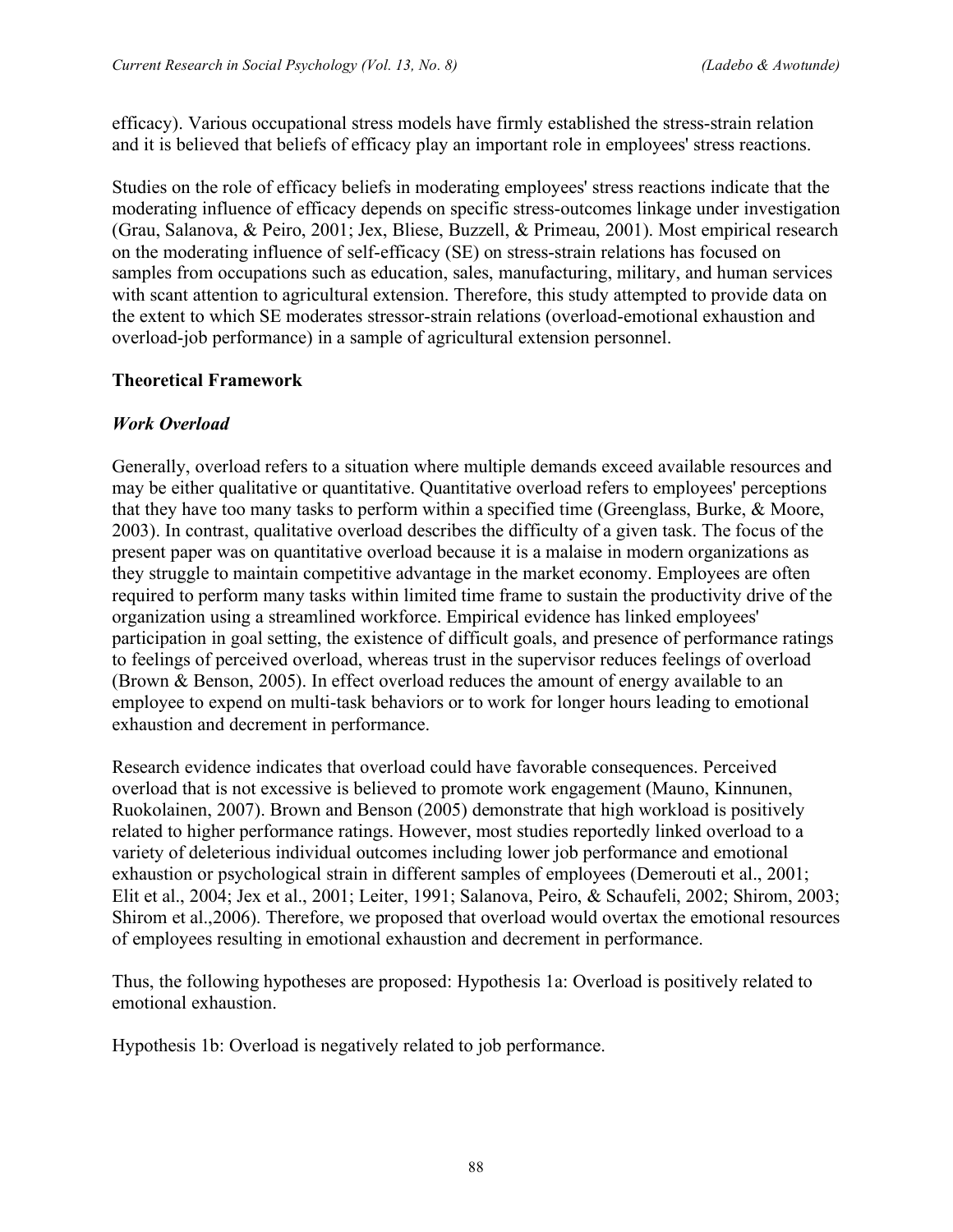efficacy). Various occupational stress models have firmly established the stress-strain relation and it is believed that beliefs of efficacy play an important role in employees' stress reactions.

Studies on the role of efficacy beliefs in moderating employees' stress reactions indicate that the moderating influence of efficacy depends on specific stress-outcomes linkage under investigation (Grau, Salanova, & Peiro, 2001; Jex, Bliese, Buzzell, & Primeau, 2001). Most empirical research on the moderating influence of self-efficacy (SE) on stress-strain relations has focused on samples from occupations such as education, sales, manufacturing, military, and human services with scant attention to agricultural extension. Therefore, this study attempted to provide data on the extent to which SE moderates stressor-strain relations (overload-emotional exhaustion and overload-job performance) in a sample of agricultural extension personnel.

# **Theoretical Framework**

# *Work Overload*

Generally, overload refers to a situation where multiple demands exceed available resources and may be either qualitative or quantitative. Quantitative overload refers to employees' perceptions that they have too many tasks to perform within a specified time (Greenglass, Burke, & Moore, 2003). In contrast, qualitative overload describes the difficulty of a given task. The focus of the present paper was on quantitative overload because it is a malaise in modern organizations as they struggle to maintain competitive advantage in the market economy. Employees are often required to perform many tasks within limited time frame to sustain the productivity drive of the organization using a streamlined workforce. Empirical evidence has linked employees' participation in goal setting, the existence of difficult goals, and presence of performance ratings to feelings of perceived overload, whereas trust in the supervisor reduces feelings of overload (Brown & Benson, 2005). In effect overload reduces the amount of energy available to an employee to expend on multi-task behaviors or to work for longer hours leading to emotional exhaustion and decrement in performance.

Research evidence indicates that overload could have favorable consequences. Perceived overload that is not excessive is believed to promote work engagement (Mauno, Kinnunen, Ruokolainen, 2007). Brown and Benson (2005) demonstrate that high workload is positively related to higher performance ratings. However, most studies reportedly linked overload to a variety of deleterious individual outcomes including lower job performance and emotional exhaustion or psychological strain in different samples of employees (Demerouti et al., 2001; Elit et al., 2004; Jex et al., 2001; Leiter, 1991; Salanova, Peiro, & Schaufeli, 2002; Shirom, 2003; Shirom et al.,2006). Therefore, we proposed that overload would overtax the emotional resources of employees resulting in emotional exhaustion and decrement in performance.

Thus, the following hypotheses are proposed: Hypothesis 1a: Overload is positively related to emotional exhaustion.

Hypothesis 1b: Overload is negatively related to job performance.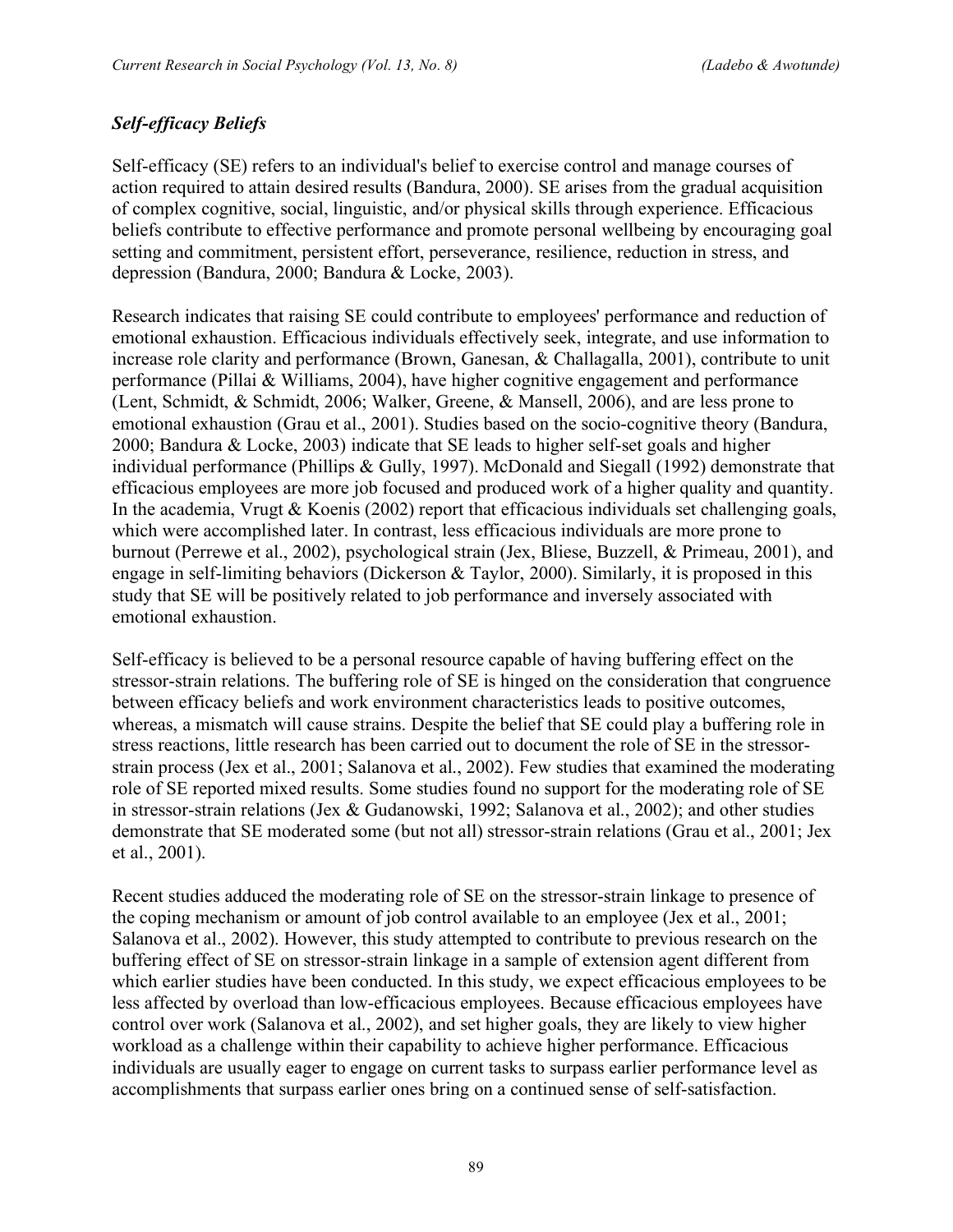# *Self-efficacy Beliefs*

Self-efficacy (SE) refers to an individual's belief to exercise control and manage courses of action required to attain desired results (Bandura, 2000). SE arises from the gradual acquisition of complex cognitive, social, linguistic, and/or physical skills through experience. Efficacious beliefs contribute to effective performance and promote personal wellbeing by encouraging goal setting and commitment, persistent effort, perseverance, resilience, reduction in stress, and depression (Bandura, 2000; Bandura & Locke, 2003).

Research indicates that raising SE could contribute to employees' performance and reduction of emotional exhaustion. Efficacious individuals effectively seek, integrate, and use information to increase role clarity and performance (Brown, Ganesan, & Challagalla, 2001), contribute to unit performance (Pillai & Williams, 2004), have higher cognitive engagement and performance (Lent, Schmidt, & Schmidt, 2006; Walker, Greene, & Mansell, 2006), and are less prone to emotional exhaustion (Grau et al., 2001). Studies based on the socio-cognitive theory (Bandura, 2000; Bandura & Locke, 2003) indicate that SE leads to higher self-set goals and higher individual performance (Phillips & Gully, 1997). McDonald and Siegall (1992) demonstrate that efficacious employees are more job focused and produced work of a higher quality and quantity. In the academia, Vrugt & Koenis (2002) report that efficacious individuals set challenging goals, which were accomplished later. In contrast, less efficacious individuals are more prone to burnout (Perrewe et al., 2002), psychological strain (Jex, Bliese, Buzzell, & Primeau, 2001), and engage in self-limiting behaviors (Dickerson & Taylor, 2000). Similarly, it is proposed in this study that SE will be positively related to job performance and inversely associated with emotional exhaustion.

Self-efficacy is believed to be a personal resource capable of having buffering effect on the stressor-strain relations. The buffering role of SE is hinged on the consideration that congruence between efficacy beliefs and work environment characteristics leads to positive outcomes, whereas, a mismatch will cause strains. Despite the belief that SE could play a buffering role in stress reactions, little research has been carried out to document the role of SE in the stressorstrain process (Jex et al., 2001; Salanova et al., 2002). Few studies that examined the moderating role of SE reported mixed results. Some studies found no support for the moderating role of SE in stressor-strain relations (Jex & Gudanowski, 1992; Salanova et al., 2002); and other studies demonstrate that SE moderated some (but not all) stressor-strain relations (Grau et al., 2001; Jex et al., 2001).

Recent studies adduced the moderating role of SE on the stressor-strain linkage to presence of the coping mechanism or amount of job control available to an employee (Jex et al., 2001; Salanova et al., 2002). However, this study attempted to contribute to previous research on the buffering effect of SE on stressor-strain linkage in a sample of extension agent different from which earlier studies have been conducted. In this study, we expect efficacious employees to be less affected by overload than low-efficacious employees. Because efficacious employees have control over work (Salanova et al., 2002), and set higher goals, they are likely to view higher workload as a challenge within their capability to achieve higher performance. Efficacious individuals are usually eager to engage on current tasks to surpass earlier performance level as accomplishments that surpass earlier ones bring on a continued sense of self-satisfaction.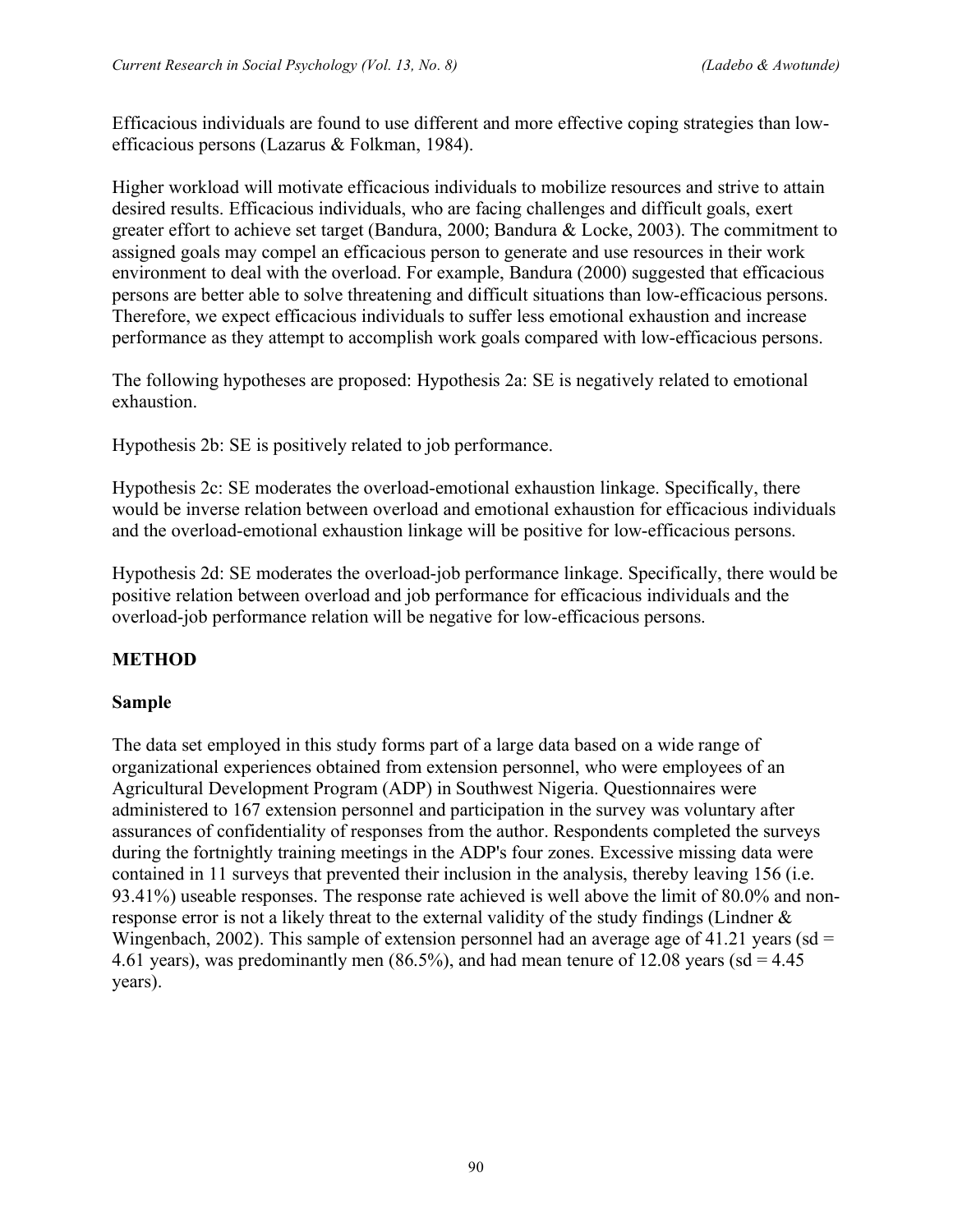Efficacious individuals are found to use different and more effective coping strategies than lowefficacious persons (Lazarus & Folkman, 1984).

Higher workload will motivate efficacious individuals to mobilize resources and strive to attain desired results. Efficacious individuals, who are facing challenges and difficult goals, exert greater effort to achieve set target (Bandura, 2000; Bandura & Locke, 2003). The commitment to assigned goals may compel an efficacious person to generate and use resources in their work environment to deal with the overload. For example, Bandura (2000) suggested that efficacious persons are better able to solve threatening and difficult situations than low-efficacious persons. Therefore, we expect efficacious individuals to suffer less emotional exhaustion and increase performance as they attempt to accomplish work goals compared with low-efficacious persons.

The following hypotheses are proposed: Hypothesis 2a: SE is negatively related to emotional exhaustion.

Hypothesis 2b: SE is positively related to job performance.

Hypothesis 2c: SE moderates the overload-emotional exhaustion linkage. Specifically, there would be inverse relation between overload and emotional exhaustion for efficacious individuals and the overload-emotional exhaustion linkage will be positive for low-efficacious persons.

Hypothesis 2d: SE moderates the overload-job performance linkage. Specifically, there would be positive relation between overload and job performance for efficacious individuals and the overload-job performance relation will be negative for low-efficacious persons.

# **METHOD**

# **Sample**

The data set employed in this study forms part of a large data based on a wide range of organizational experiences obtained from extension personnel, who were employees of an Agricultural Development Program (ADP) in Southwest Nigeria. Questionnaires were administered to 167 extension personnel and participation in the survey was voluntary after assurances of confidentiality of responses from the author. Respondents completed the surveys during the fortnightly training meetings in the ADP's four zones. Excessive missing data were contained in 11 surveys that prevented their inclusion in the analysis, thereby leaving 156 (i.e. 93.41%) useable responses. The response rate achieved is well above the limit of 80.0% and nonresponse error is not a likely threat to the external validity of the study findings (Lindner & Wingenbach, 2002). This sample of extension personnel had an average age of 41.21 years (sd  $=$ 4.61 years), was predominantly men  $(86.5\%)$ , and had mean tenure of 12.08 years (sd = 4.45) years).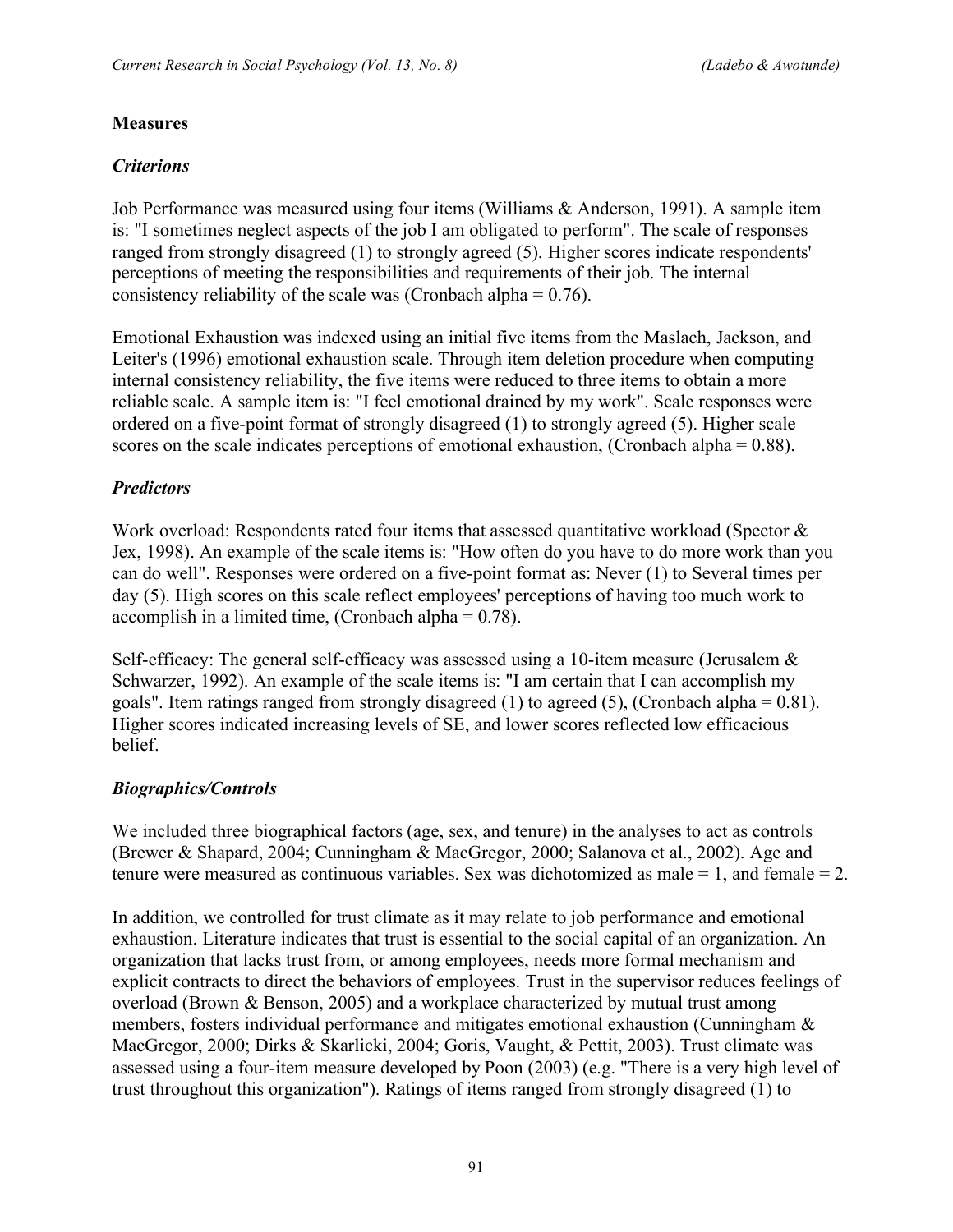### **Measures**

### *Criterions*

Job Performance was measured using four items (Williams & Anderson, 1991). A sample item is: "I sometimes neglect aspects of the job I am obligated to perform". The scale of responses ranged from strongly disagreed (1) to strongly agreed (5). Higher scores indicate respondents' perceptions of meeting the responsibilities and requirements of their job. The internal consistency reliability of the scale was (Cronbach alpha =  $0.76$ ).

Emotional Exhaustion was indexed using an initial five items from the Maslach, Jackson, and Leiter's (1996) emotional exhaustion scale. Through item deletion procedure when computing internal consistency reliability, the five items were reduced to three items to obtain a more reliable scale. A sample item is: "I feel emotional drained by my work". Scale responses were ordered on a five-point format of strongly disagreed (1) to strongly agreed (5). Higher scale scores on the scale indicates perceptions of emotional exhaustion, (Cronbach alpha = 0.88).

### *Predictors*

Work overload: Respondents rated four items that assessed quantitative workload (Spector & Jex, 1998). An example of the scale items is: "How often do you have to do more work than you can do well". Responses were ordered on a five-point format as: Never (1) to Several times per day (5). High scores on this scale reflect employees' perceptions of having too much work to accomplish in a limited time, (Cronbach alpha  $= 0.78$ ).

Self-efficacy: The general self-efficacy was assessed using a 10-item measure (Jerusalem & Schwarzer, 1992). An example of the scale items is: "I am certain that I can accomplish my goals". Item ratings ranged from strongly disagreed (1) to agreed (5), (Cronbach alpha =  $0.81$ ). Higher scores indicated increasing levels of SE, and lower scores reflected low efficacious belief.

#### *Biographics/Controls*

We included three biographical factors (age, sex, and tenure) in the analyses to act as controls (Brewer & Shapard, 2004; Cunningham & MacGregor, 2000; Salanova et al., 2002). Age and tenure were measured as continuous variables. Sex was dichotomized as male = 1, and female = 2.

In addition, we controlled for trust climate as it may relate to job performance and emotional exhaustion. Literature indicates that trust is essential to the social capital of an organization. An organization that lacks trust from, or among employees, needs more formal mechanism and explicit contracts to direct the behaviors of employees. Trust in the supervisor reduces feelings of overload (Brown & Benson, 2005) and a workplace characterized by mutual trust among members, fosters individual performance and mitigates emotional exhaustion (Cunningham & MacGregor, 2000; Dirks & Skarlicki, 2004; Goris, Vaught, & Pettit, 2003). Trust climate was assessed using a four-item measure developed by Poon (2003) (e.g. "There is a very high level of trust throughout this organization"). Ratings of items ranged from strongly disagreed (1) to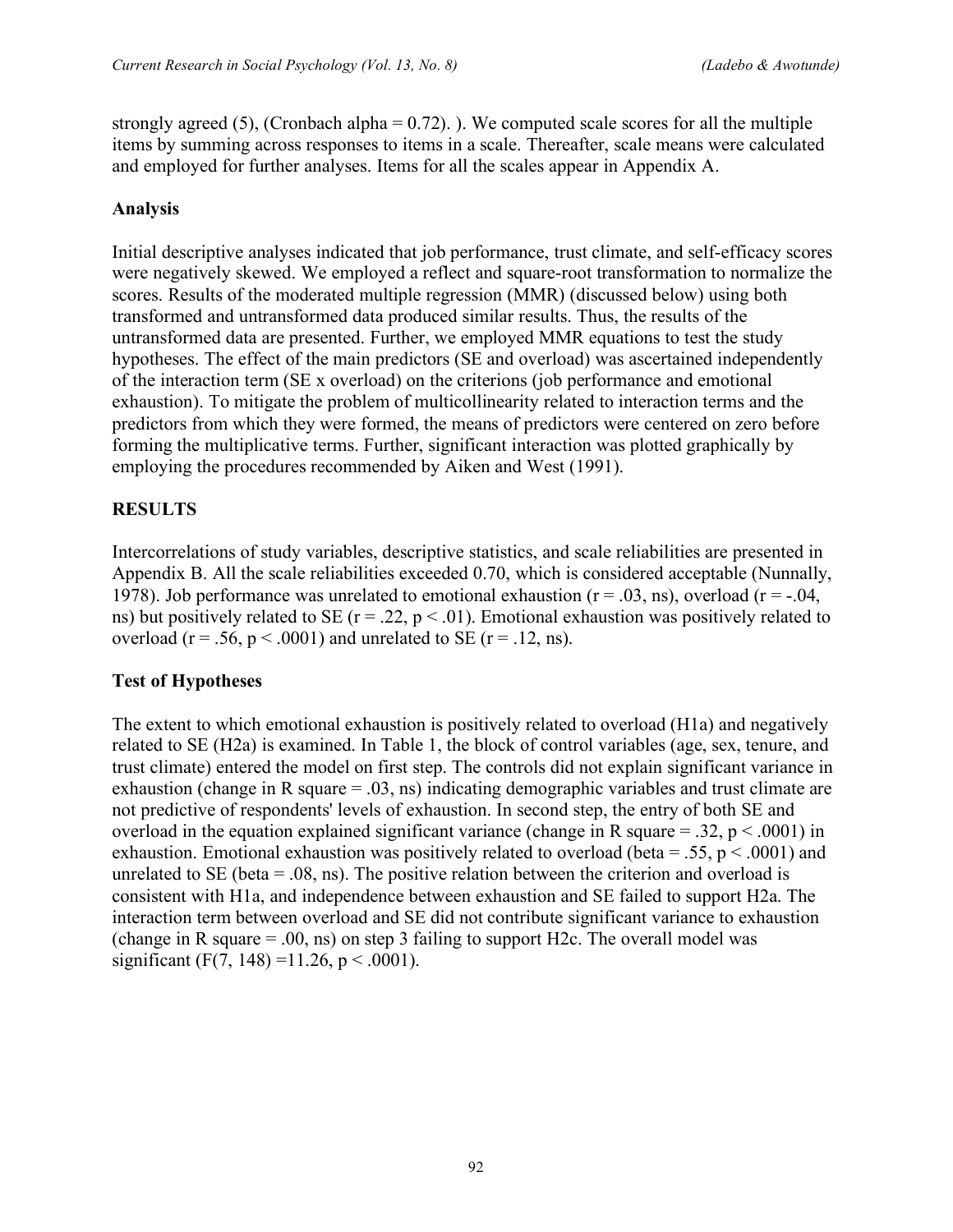strongly agreed (5), (Cronbach alpha =  $0.72$ ). ). We computed scale scores for all the multiple items by summing across responses to items in a scale. Thereafter, scale means were calculated and employed for further analyses. Items for all the scales appear in Appendix A.

# **Analysis**

Initial descriptive analyses indicated that job performance, trust climate, and self-efficacy scores were negatively skewed. We employed a reflect and square-root transformation to normalize the scores. Results of the moderated multiple regression (MMR) (discussed below) using both transformed and untransformed data produced similar results. Thus, the results of the untransformed data are presented. Further, we employed MMR equations to test the study hypotheses. The effect of the main predictors (SE and overload) was ascertained independently of the interaction term (SE x overload) on the criterions (job performance and emotional exhaustion). To mitigate the problem of multicollinearity related to interaction terms and the predictors from which they were formed, the means of predictors were centered on zero before forming the multiplicative terms. Further, significant interaction was plotted graphically by employing the procedures recommended by Aiken and West (1991).

# **RESULTS**

Intercorrelations of study variables, descriptive statistics, and scale reliabilities are presented in Appendix B. All the scale reliabilities exceeded 0.70, which is considered acceptable (Nunnally, 1978). Job performance was unrelated to emotional exhaustion ( $r = .03$ , ns), overload ( $r = .04$ , ns) but positively related to SE ( $r = .22$ ,  $p < .01$ ). Emotional exhaustion was positively related to overload ( $r = .56$ ,  $p < .0001$ ) and unrelated to SE ( $r = .12$ , ns).

# **Test of Hypotheses**

The extent to which emotional exhaustion is positively related to overload (H1a) and negatively related to SE (H2a) is examined. In Table 1, the block of control variables (age, sex, tenure, and trust climate) entered the model on first step. The controls did not explain significant variance in exhaustion (change in R square = .03, ns) indicating demographic variables and trust climate are not predictive of respondents' levels of exhaustion. In second step, the entry of both SE and overload in the equation explained significant variance (change in R square  $= .32$ ,  $p < .0001$ ) in exhaustion. Emotional exhaustion was positively related to overload (beta = .55,  $p < .0001$ ) and unrelated to SE (beta  $= .08$ , ns). The positive relation between the criterion and overload is consistent with H1a, and independence between exhaustion and SE failed to support H2a. The interaction term between overload and SE did not contribute significant variance to exhaustion (change in R square  $= .00$ , ns) on step 3 failing to support H2c. The overall model was significant (F(7, 148) = 11.26, p < .0001).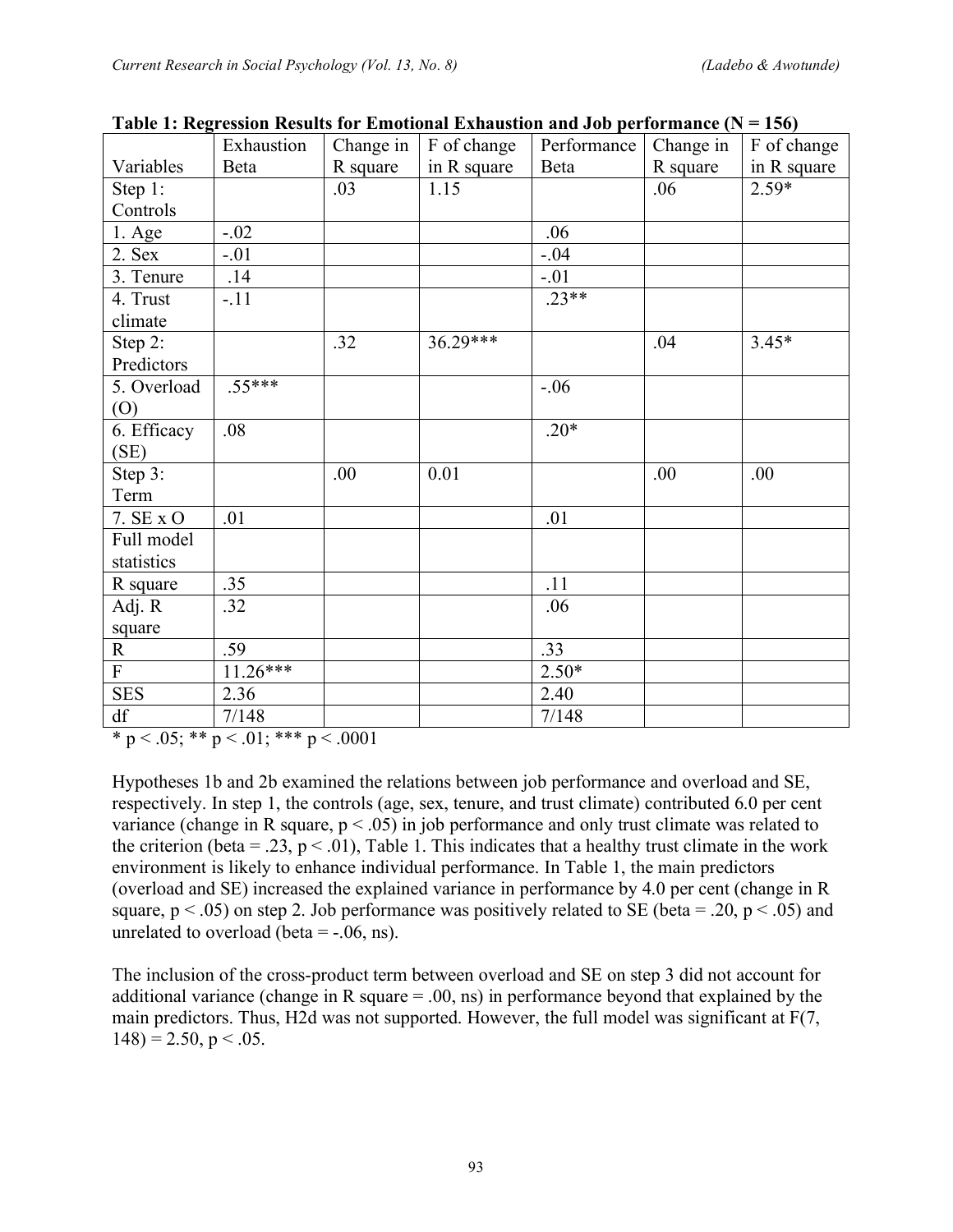|             | Exhaustion | Change in | F of change | There is the present the matrix of the control of the control and one performance $(1)$<br>Performance | Change in | F of change |
|-------------|------------|-----------|-------------|--------------------------------------------------------------------------------------------------------|-----------|-------------|
| Variables   | Beta       | R square  | in R square | Beta                                                                                                   | R square  | in R square |
| Step 1:     |            | .03       | 1.15        |                                                                                                        | .06       | $2.59*$     |
| Controls    |            |           |             |                                                                                                        |           |             |
| $1.$ Age    | $-.02$     |           |             | .06                                                                                                    |           |             |
| 2. Sex      | $-.01$     |           |             | $-.04$                                                                                                 |           |             |
| 3. Tenure   | .14        |           |             | $-.01$                                                                                                 |           |             |
| 4. Trust    | $-.11$     |           |             | $.23**$                                                                                                |           |             |
| climate     |            |           |             |                                                                                                        |           |             |
| Step 2:     |            | .32       | $36.29***$  |                                                                                                        | .04       | $3.45*$     |
| Predictors  |            |           |             |                                                                                                        |           |             |
| 5. Overload | $.55***$   |           |             | $-.06$                                                                                                 |           |             |
| (0)         |            |           |             |                                                                                                        |           |             |
| 6. Efficacy | .08        |           |             | $.20*$                                                                                                 |           |             |
| (SE)        |            |           |             |                                                                                                        |           |             |
| Step 3:     |            | .00       | 0.01        |                                                                                                        | .00       | .00         |
| Term        |            |           |             |                                                                                                        |           |             |
| 7. SE x O   | .01        |           |             | .01                                                                                                    |           |             |
| Full model  |            |           |             |                                                                                                        |           |             |
| statistics  |            |           |             |                                                                                                        |           |             |
| R square    | .35        |           |             | .11                                                                                                    |           |             |
| Adj. R      | .32        |           |             | .06                                                                                                    |           |             |
| square      |            |           |             |                                                                                                        |           |             |
| $\mathbf R$ | .59        |           |             | .33                                                                                                    |           |             |
| ${\bf F}$   | $11.26***$ |           |             | $2.50*$                                                                                                |           |             |
| <b>SES</b>  | 2.36       |           |             | 2.40                                                                                                   |           |             |
| df          | 7/148      |           |             | 7/148                                                                                                  |           |             |

**Table 1: Regression Results for Emotional Exhaustion and Job performance (N = 156)**

\* p < .05; \*\* p < .01; \*\*\* p < .0001

Hypotheses 1b and 2b examined the relations between job performance and overload and SE, respectively. In step 1, the controls (age, sex, tenure, and trust climate) contributed 6.0 per cent variance (change in R square,  $p < .05$ ) in job performance and only trust climate was related to the criterion (beta = .23,  $p < .01$ ), Table 1. This indicates that a healthy trust climate in the work environment is likely to enhance individual performance. In Table 1, the main predictors (overload and SE) increased the explained variance in performance by 4.0 per cent (change in R square,  $p < .05$ ) on step 2. Job performance was positively related to SE (beta = .20,  $p < .05$ ) and unrelated to overload (beta  $=$  -.06, ns).

The inclusion of the cross-product term between overload and SE on step 3 did not account for additional variance (change in R square = .00, ns) in performance beyond that explained by the main predictors. Thus, H2d was not supported. However, the full model was significant at F(7,  $148$ ) = 2.50, p < .05.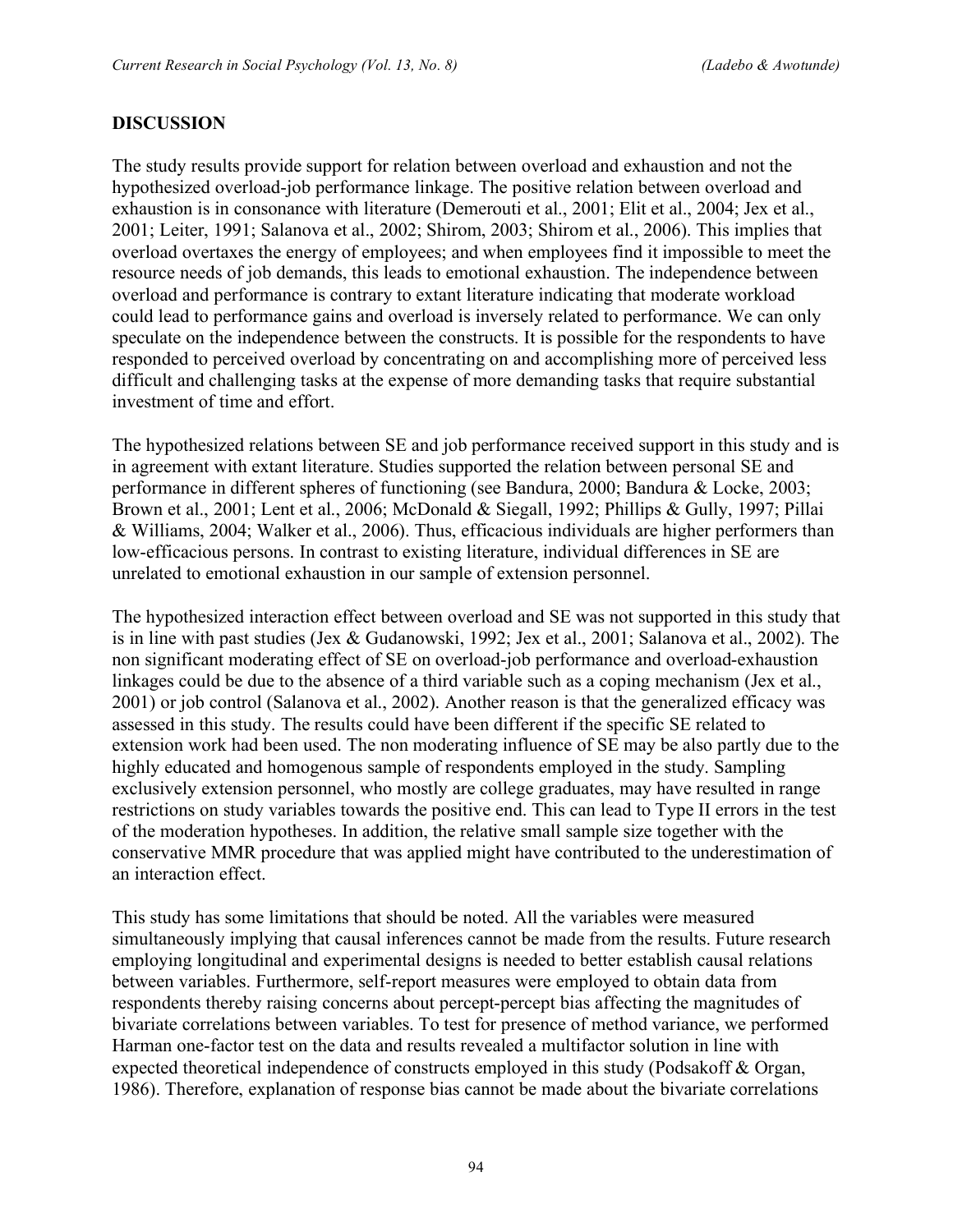### **DISCUSSION**

The study results provide support for relation between overload and exhaustion and not the hypothesized overload-job performance linkage. The positive relation between overload and exhaustion is in consonance with literature (Demerouti et al., 2001; Elit et al., 2004; Jex et al., 2001; Leiter, 1991; Salanova et al., 2002; Shirom, 2003; Shirom et al., 2006). This implies that overload overtaxes the energy of employees; and when employees find it impossible to meet the resource needs of job demands, this leads to emotional exhaustion. The independence between overload and performance is contrary to extant literature indicating that moderate workload could lead to performance gains and overload is inversely related to performance. We can only speculate on the independence between the constructs. It is possible for the respondents to have responded to perceived overload by concentrating on and accomplishing more of perceived less difficult and challenging tasks at the expense of more demanding tasks that require substantial investment of time and effort.

The hypothesized relations between SE and job performance received support in this study and is in agreement with extant literature. Studies supported the relation between personal SE and performance in different spheres of functioning (see Bandura, 2000; Bandura & Locke, 2003; Brown et al., 2001; Lent et al., 2006; McDonald & Siegall, 1992; Phillips & Gully, 1997; Pillai & Williams, 2004; Walker et al., 2006). Thus, efficacious individuals are higher performers than low-efficacious persons. In contrast to existing literature, individual differences in SE are unrelated to emotional exhaustion in our sample of extension personnel.

The hypothesized interaction effect between overload and SE was not supported in this study that is in line with past studies (Jex & Gudanowski, 1992; Jex et al., 2001; Salanova et al., 2002). The non significant moderating effect of SE on overload-job performance and overload-exhaustion linkages could be due to the absence of a third variable such as a coping mechanism (Jex et al., 2001) or job control (Salanova et al., 2002). Another reason is that the generalized efficacy was assessed in this study. The results could have been different if the specific SE related to extension work had been used. The non moderating influence of SE may be also partly due to the highly educated and homogenous sample of respondents employed in the study. Sampling exclusively extension personnel, who mostly are college graduates, may have resulted in range restrictions on study variables towards the positive end. This can lead to Type II errors in the test of the moderation hypotheses. In addition, the relative small sample size together with the conservative MMR procedure that was applied might have contributed to the underestimation of an interaction effect.

This study has some limitations that should be noted. All the variables were measured simultaneously implying that causal inferences cannot be made from the results. Future research employing longitudinal and experimental designs is needed to better establish causal relations between variables. Furthermore, self-report measures were employed to obtain data from respondents thereby raising concerns about percept-percept bias affecting the magnitudes of bivariate correlations between variables. To test for presence of method variance, we performed Harman one-factor test on the data and results revealed a multifactor solution in line with expected theoretical independence of constructs employed in this study (Podsakoff & Organ, 1986). Therefore, explanation of response bias cannot be made about the bivariate correlations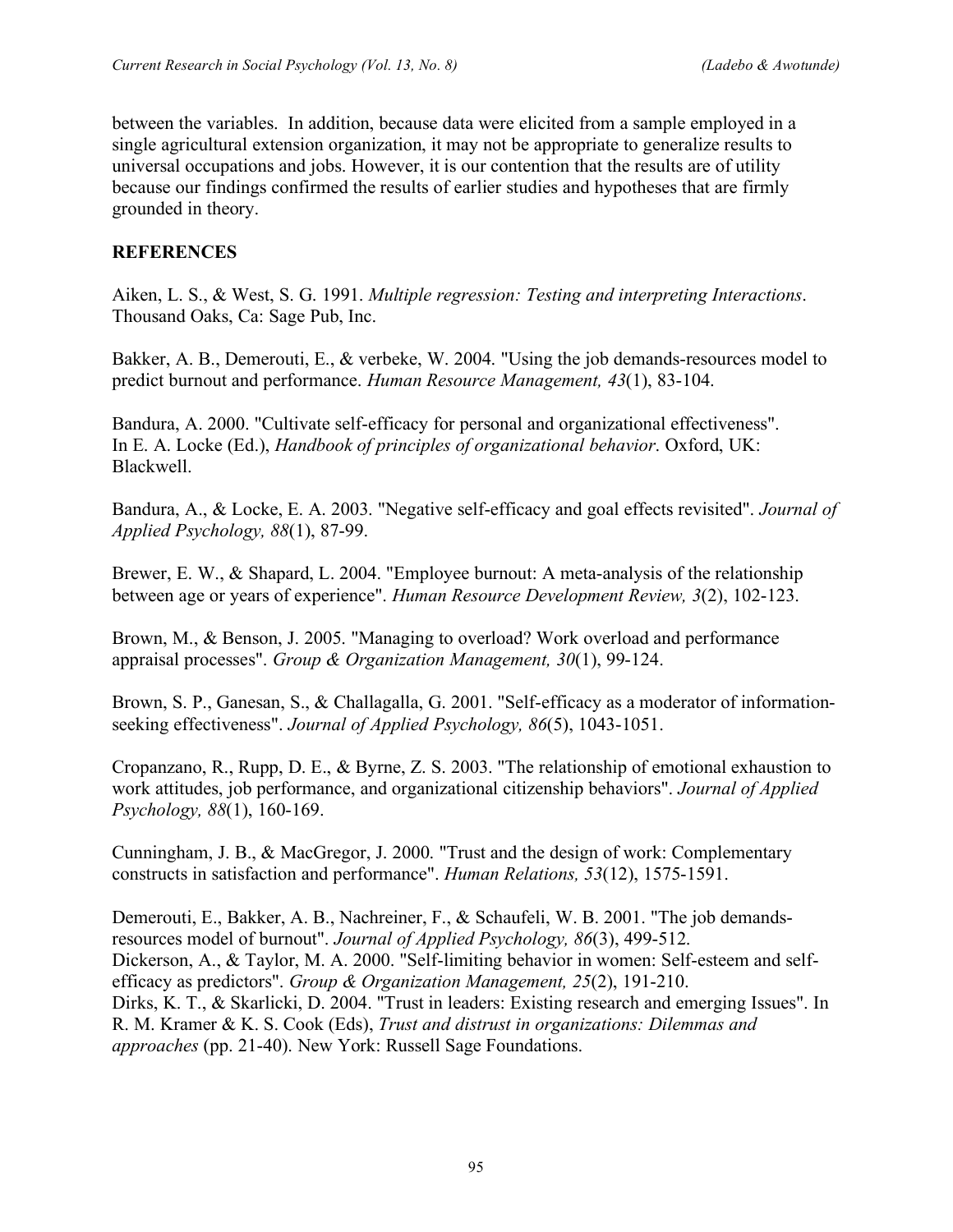between the variables. In addition, because data were elicited from a sample employed in a single agricultural extension organization, it may not be appropriate to generalize results to universal occupations and jobs. However, it is our contention that the results are of utility because our findings confirmed the results of earlier studies and hypotheses that are firmly grounded in theory.

# **REFERENCES**

Aiken, L. S., & West, S. G. 1991. *Multiple regression: Testing and interpreting Interactions*. Thousand Oaks, Ca: Sage Pub, Inc.

Bakker, A. B., Demerouti, E., & verbeke, W. 2004. "Using the job demands-resources model to predict burnout and performance. *Human Resource Management, 43*(1), 83-104.

Bandura, A. 2000. "Cultivate self-efficacy for personal and organizational effectiveness". In E. A. Locke (Ed.), *Handbook of principles of organizational behavior*. Oxford, UK: Blackwell.

Bandura, A., & Locke, E. A. 2003. "Negative self-efficacy and goal effects revisited". *Journal of Applied Psychology, 88*(1), 87-99.

Brewer, E. W., & Shapard, L. 2004. "Employee burnout: A meta-analysis of the relationship between age or years of experience". *Human Resource Development Review, 3*(2), 102-123.

Brown, M., & Benson, J. 2005. "Managing to overload? Work overload and performance appraisal processes". *Group & Organization Management, 30*(1), 99-124.

Brown, S. P., Ganesan, S., & Challagalla, G. 2001. "Self-efficacy as a moderator of informationseeking effectiveness". *Journal of Applied Psychology, 86*(5), 1043-1051.

Cropanzano, R., Rupp, D. E., & Byrne, Z. S. 2003. "The relationship of emotional exhaustion to work attitudes, job performance, and organizational citizenship behaviors". *Journal of Applied Psychology, 88*(1), 160-169.

Cunningham, J. B., & MacGregor, J. 2000. "Trust and the design of work: Complementary constructs in satisfaction and performance". *Human Relations, 53*(12), 1575-1591.

Demerouti, E., Bakker, A. B., Nachreiner, F., & Schaufeli, W. B. 2001. "The job demandsresources model of burnout". *Journal of Applied Psychology, 86*(3), 499-512. Dickerson, A., & Taylor, M. A. 2000. "Self-limiting behavior in women: Self-esteem and selfefficacy as predictors". *Group & Organization Management, 25*(2), 191-210. Dirks, K. T., & Skarlicki, D. 2004. "Trust in leaders: Existing research and emerging Issues". In R. M. Kramer & K. S. Cook (Eds), *Trust and distrust in organizations: Dilemmas and approaches* (pp. 21-40). New York: Russell Sage Foundations.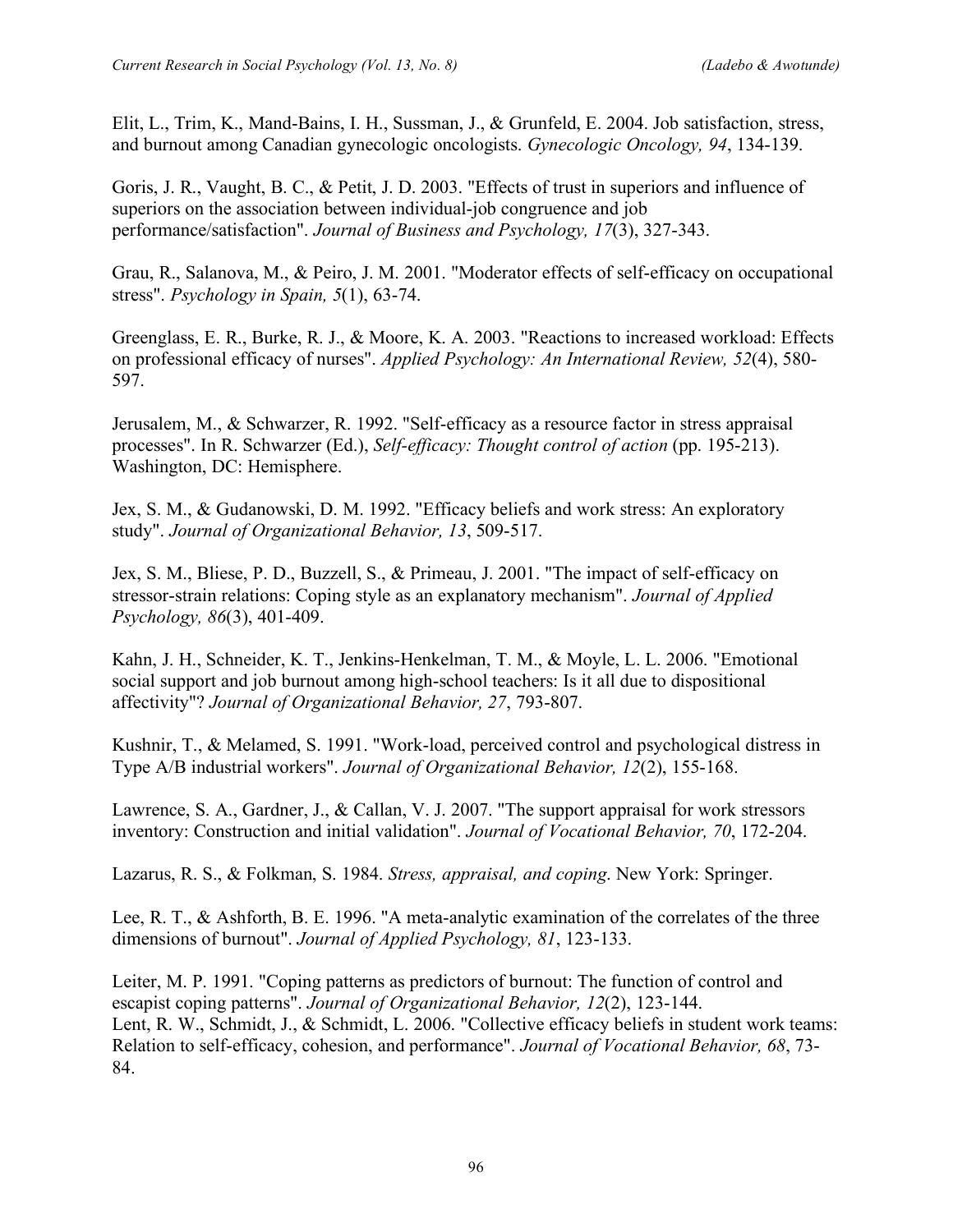Elit, L., Trim, K., Mand-Bains, I. H., Sussman, J., & Grunfeld, E. 2004. Job satisfaction, stress, and burnout among Canadian gynecologic oncologists. *Gynecologic Oncology, 94*, 134-139.

Goris, J. R., Vaught, B. C., & Petit, J. D. 2003. "Effects of trust in superiors and influence of superiors on the association between individual-job congruence and job performance/satisfaction". *Journal of Business and Psychology, 17*(3), 327-343.

Grau, R., Salanova, M., & Peiro, J. M. 2001. "Moderator effects of self-efficacy on occupational stress". *Psychology in Spain, 5*(1), 63-74.

Greenglass, E. R., Burke, R. J., & Moore, K. A. 2003. "Reactions to increased workload: Effects on professional efficacy of nurses". *Applied Psychology: An International Review, 52*(4), 580- 597.

Jerusalem, M., & Schwarzer, R. 1992. "Self-efficacy as a resource factor in stress appraisal processes". In R. Schwarzer (Ed.), *Self-efficacy: Thought control of action* (pp. 195-213). Washington, DC: Hemisphere.

Jex, S. M., & Gudanowski, D. M. 1992. "Efficacy beliefs and work stress: An exploratory study". *Journal of Organizational Behavior, 13*, 509-517.

Jex, S. M., Bliese, P. D., Buzzell, S., & Primeau, J. 2001. "The impact of self-efficacy on stressor-strain relations: Coping style as an explanatory mechanism". *Journal of Applied Psychology, 86*(3), 401-409.

Kahn, J. H., Schneider, K. T., Jenkins-Henkelman, T. M., & Moyle, L. L. 2006. "Emotional social support and job burnout among high-school teachers: Is it all due to dispositional affectivity"? *Journal of Organizational Behavior, 27*, 793-807.

Kushnir, T., & Melamed, S. 1991. "Work-load, perceived control and psychological distress in Type A/B industrial workers". *Journal of Organizational Behavior, 12*(2), 155-168.

Lawrence, S. A., Gardner, J., & Callan, V. J. 2007. "The support appraisal for work stressors inventory: Construction and initial validation". *Journal of Vocational Behavior, 70*, 172-204.

Lazarus, R. S., & Folkman, S. 1984. *Stress, appraisal, and coping*. New York: Springer.

Lee, R. T., & Ashforth, B. E. 1996. "A meta-analytic examination of the correlates of the three dimensions of burnout". *Journal of Applied Psychology, 81*, 123-133.

Leiter, M. P. 1991. "Coping patterns as predictors of burnout: The function of control and escapist coping patterns". *Journal of Organizational Behavior, 12*(2), 123-144. Lent, R. W., Schmidt, J., & Schmidt, L. 2006. "Collective efficacy beliefs in student work teams: Relation to self-efficacy, cohesion, and performance". *Journal of Vocational Behavior, 68*, 73- 84.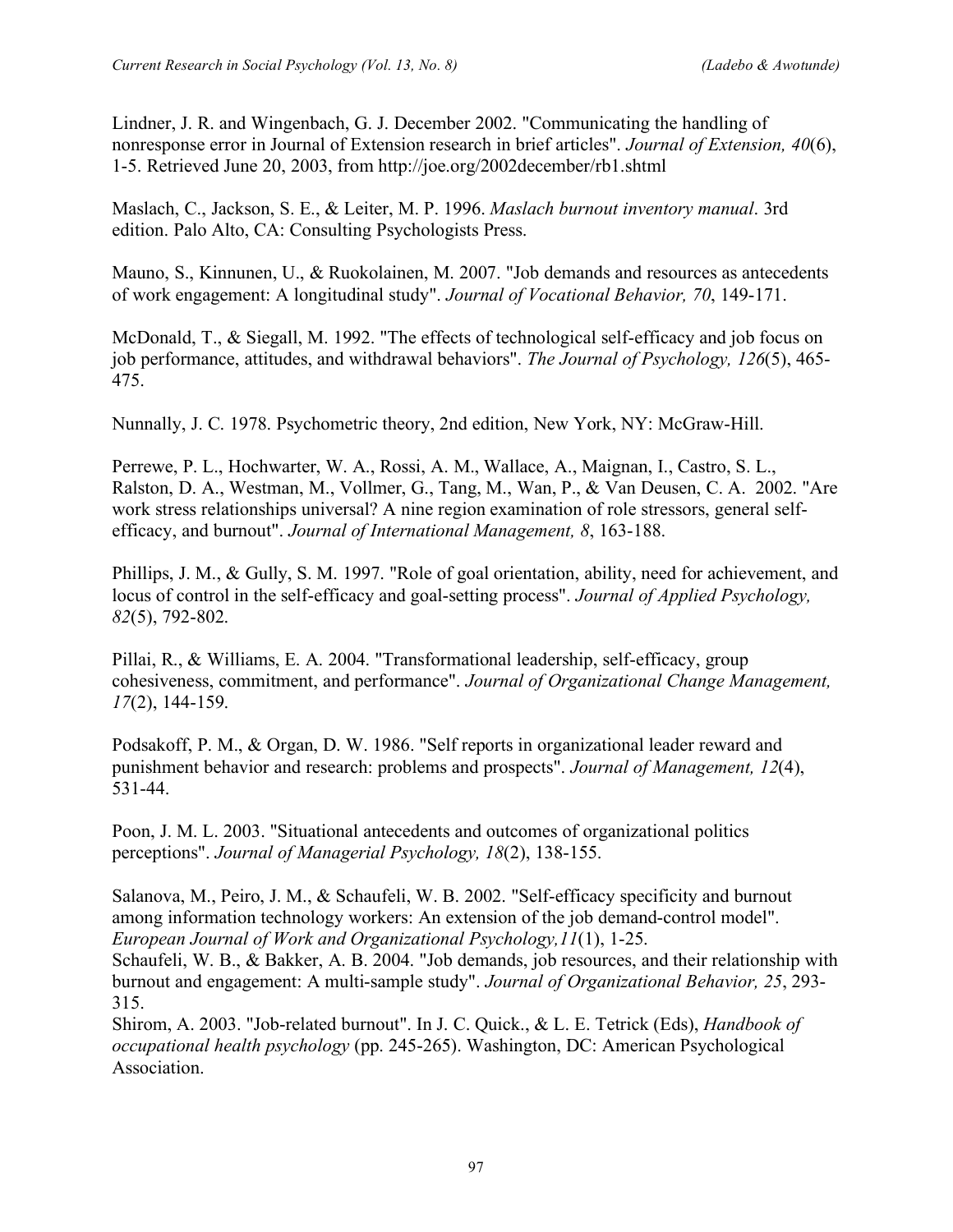Lindner, J. R. and Wingenbach, G. J. December 2002. "Communicating the handling of nonresponse error in Journal of Extension research in brief articles". *Journal of Extension, 40*(6), 1-5. Retrieved June 20, 2003, from http://joe.org/2002december/rb1.shtml

Maslach, C., Jackson, S. E., & Leiter, M. P. 1996. *Maslach burnout inventory manual*. 3rd edition. Palo Alto, CA: Consulting Psychologists Press.

Mauno, S., Kinnunen, U., & Ruokolainen, M. 2007. "Job demands and resources as antecedents of work engagement: A longitudinal study". *Journal of Vocational Behavior, 70*, 149-171.

McDonald, T., & Siegall, M. 1992. "The effects of technological self-efficacy and job focus on job performance, attitudes, and withdrawal behaviors". *The Journal of Psychology, 126*(5), 465- 475.

Nunnally, J. C. 1978. Psychometric theory, 2nd edition, New York, NY: McGraw-Hill.

Perrewe, P. L., Hochwarter, W. A., Rossi, A. M., Wallace, A., Maignan, I., Castro, S. L., Ralston, D. A., Westman, M., Vollmer, G., Tang, M., Wan, P., & Van Deusen, C. A. 2002. "Are work stress relationships universal? A nine region examination of role stressors, general selfefficacy, and burnout". *Journal of International Management, 8*, 163-188.

Phillips, J. M., & Gully, S. M. 1997. "Role of goal orientation, ability, need for achievement, and locus of control in the self-efficacy and goal-setting process". *Journal of Applied Psychology, 82*(5), 792-802.

Pillai, R., & Williams, E. A. 2004. "Transformational leadership, self-efficacy, group cohesiveness, commitment, and performance". *Journal of Organizational Change Management, 17*(2), 144-159.

Podsakoff, P. M., & Organ, D. W. 1986. "Self reports in organizational leader reward and punishment behavior and research: problems and prospects". *Journal of Management, 12*(4), 531-44.

Poon, J. M. L. 2003. "Situational antecedents and outcomes of organizational politics perceptions". *Journal of Managerial Psychology, 18*(2), 138-155.

Salanova, M., Peiro, J. M., & Schaufeli, W. B. 2002. "Self-efficacy specificity and burnout among information technology workers: An extension of the job demand-control model". *European Journal of Work and Organizational Psychology,11*(1), 1-25.

Schaufeli, W. B., & Bakker, A. B. 2004. "Job demands, job resources, and their relationship with burnout and engagement: A multi-sample study". *Journal of Organizational Behavior, 25*, 293- 315.

Shirom, A. 2003. "Job-related burnout". In J. C. Quick., & L. E. Tetrick (Eds), *Handbook of occupational health psychology* (pp. 245-265). Washington, DC: American Psychological Association.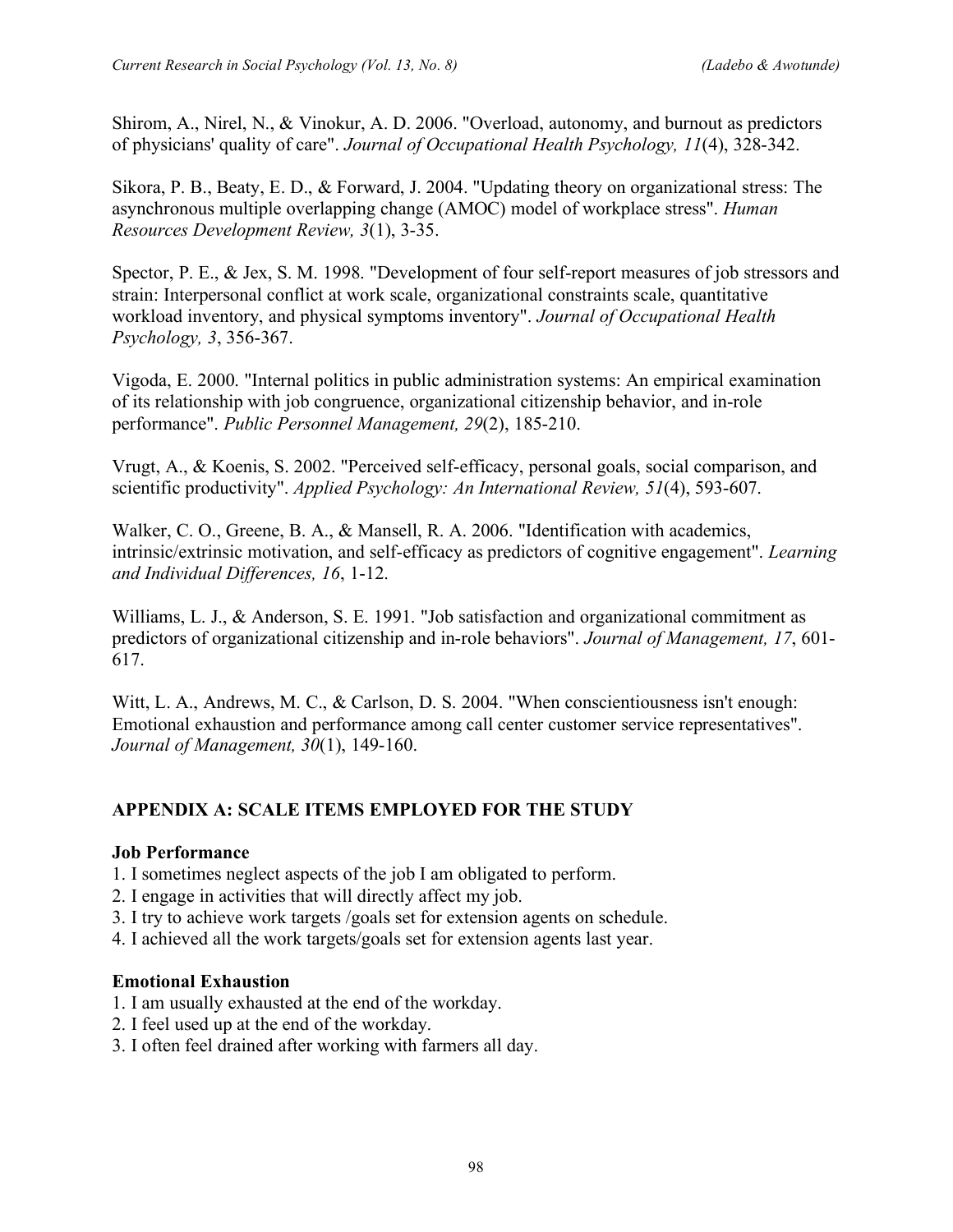Shirom, A., Nirel, N., & Vinokur, A. D. 2006. "Overload, autonomy, and burnout as predictors of physicians' quality of care". *Journal of Occupational Health Psychology, 11*(4), 328-342.

Sikora, P. B., Beaty, E. D., & Forward, J. 2004. "Updating theory on organizational stress: The asynchronous multiple overlapping change (AMOC) model of workplace stress". *Human Resources Development Review, 3*(1), 3-35.

Spector, P. E., & Jex, S. M. 1998. "Development of four self-report measures of job stressors and strain: Interpersonal conflict at work scale, organizational constraints scale, quantitative workload inventory, and physical symptoms inventory". *Journal of Occupational Health Psychology, 3*, 356-367.

Vigoda, E. 2000. "Internal politics in public administration systems: An empirical examination of its relationship with job congruence, organizational citizenship behavior, and in-role performance". *Public Personnel Management, 29*(2), 185-210.

Vrugt, A., & Koenis, S. 2002. "Perceived self-efficacy, personal goals, social comparison, and scientific productivity". *Applied Psychology: An International Review, 51*(4), 593-607.

Walker, C. O., Greene, B. A., & Mansell, R. A. 2006. "Identification with academics, intrinsic/extrinsic motivation, and self-efficacy as predictors of cognitive engagement". *Learning and Individual Differences, 16*, 1-12.

Williams, L. J., & Anderson, S. E. 1991. "Job satisfaction and organizational commitment as predictors of organizational citizenship and in-role behaviors". *Journal of Management, 17*, 601- 617.

Witt, L. A., Andrews, M. C., & Carlson, D. S. 2004. "When conscientiousness isn't enough: Emotional exhaustion and performance among call center customer service representatives". *Journal of Management, 30*(1), 149-160.

# **APPENDIX A: SCALE ITEMS EMPLOYED FOR THE STUDY**

# **Job Performance**

- 1. I sometimes neglect aspects of the job I am obligated to perform.
- 2. I engage in activities that will directly affect my job.
- 3. I try to achieve work targets /goals set for extension agents on schedule.
- 4. I achieved all the work targets/goals set for extension agents last year.

#### **Emotional Exhaustion**

- 1. I am usually exhausted at the end of the workday.
- 2. I feel used up at the end of the workday.
- 3. I often feel drained after working with farmers all day.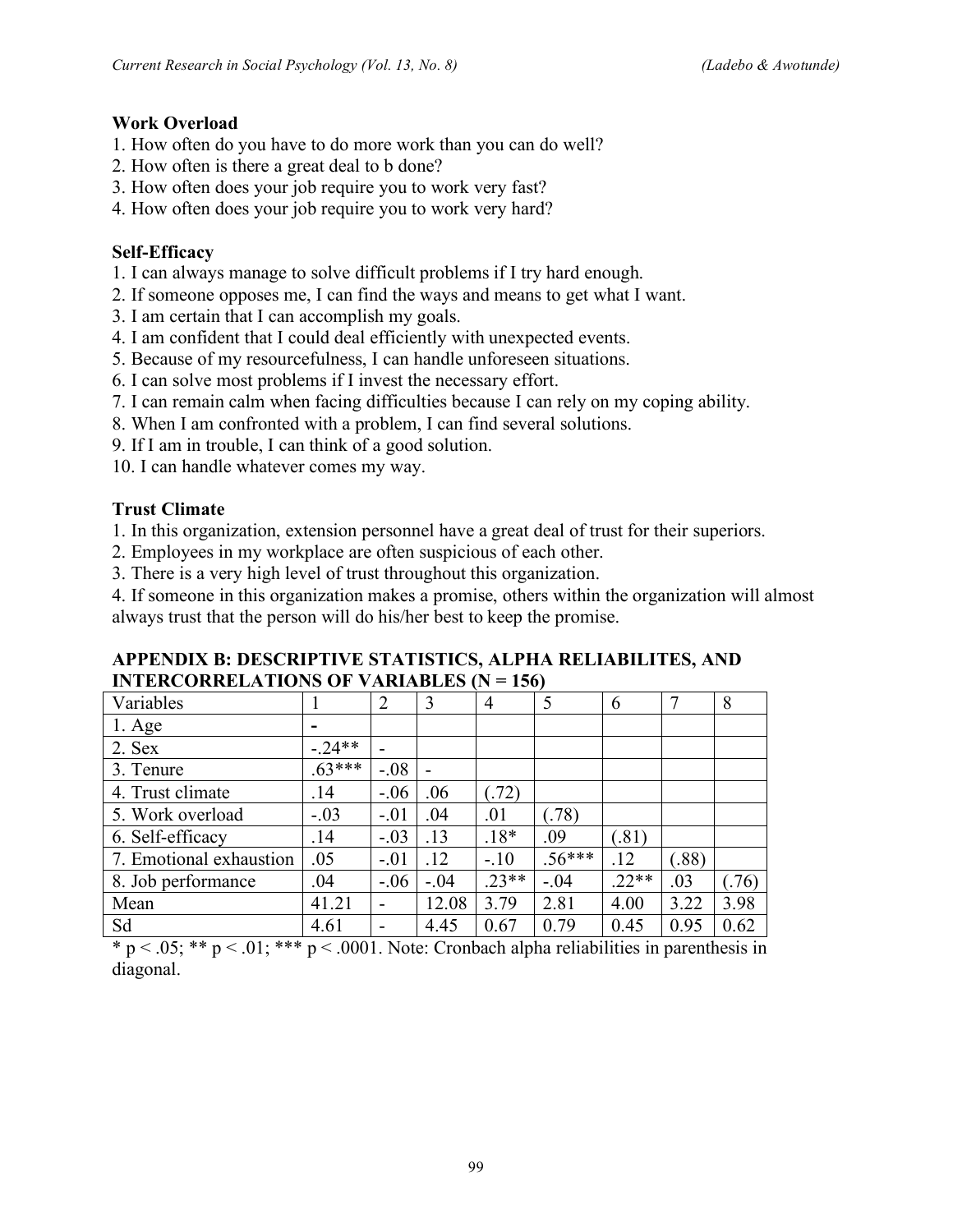#### **Work Overload**

- 1. How often do you have to do more work than you can do well?
- 2. How often is there a great deal to b done?
- 3. How often does your job require you to work very fast?
- 4. How often does your job require you to work very hard?

### **Self-Efficacy**

- 1. I can always manage to solve difficult problems if I try hard enough.
- 2. If someone opposes me, I can find the ways and means to get what I want.
- 3. I am certain that I can accomplish my goals.
- 4. I am confident that I could deal efficiently with unexpected events.
- 5. Because of my resourcefulness, I can handle unforeseen situations.
- 6. I can solve most problems if I invest the necessary effort.
- 7. I can remain calm when facing difficulties because I can rely on my coping ability.
- 8. When I am confronted with a problem, I can find several solutions.
- 9. If I am in trouble, I can think of a good solution.
- 10. I can handle whatever comes my way.

### **Trust Climate**

- 1. In this organization, extension personnel have a great deal of trust for their superiors.
- 2. Employees in my workplace are often suspicious of each other.
- 3. There is a very high level of trust throughout this organization.

4. If someone in this organization makes a promise, others within the organization will almost always trust that the person will do his/her best to keep the promise.

#### **APPENDIX B: DESCRIPTIVE STATISTICS, ALPHA RELIABILITES, AND INTERCORRELATIONS OF VARIABLES (N = 156)**

| Variables               |         | $\overline{2}$ | 3      | $\overline{4}$ | 5        | 6       |      | 8    |
|-------------------------|---------|----------------|--------|----------------|----------|---------|------|------|
| $1. \text{Age}$         |         |                |        |                |          |         |      |      |
| 2. Sex                  | $-24**$ |                |        |                |          |         |      |      |
| 3. Tenure               | $63***$ | $-.08$         |        |                |          |         |      |      |
| 4. Trust climate        | .14     | $-.06$         | .06    | (72)           |          |         |      |      |
| 5. Work overload        | $-.03$  | $-.01$         | .04    | .01            | (0.78)   |         |      |      |
| 6. Self-efficacy        | .14     | $-.03$         | .13    | $.18*$         | .09      | (.81)   |      |      |
| 7. Emotional exhaustion | .05     | $-.01$         | .12    | $-.10$         | $.56***$ | .12     | .88) |      |
| 8. Job performance      | .04     | $-.06$         | $-.04$ | $.23**$        | $-.04$   | $.22**$ | .03  | (76) |
| Mean                    | 41.21   |                | 12.08  | 3.79           | 2.81     | 4.00    | 3.22 | 3.98 |
| Sd                      | 4.61    |                | 4.45   | 0.67           | 0.79     | 0.45    | 0.95 | 0.62 |

 $* p < .05; ** p < .01; *** p < .0001$ . Note: Cronbach alpha reliabilities in parenthesis in diagonal.